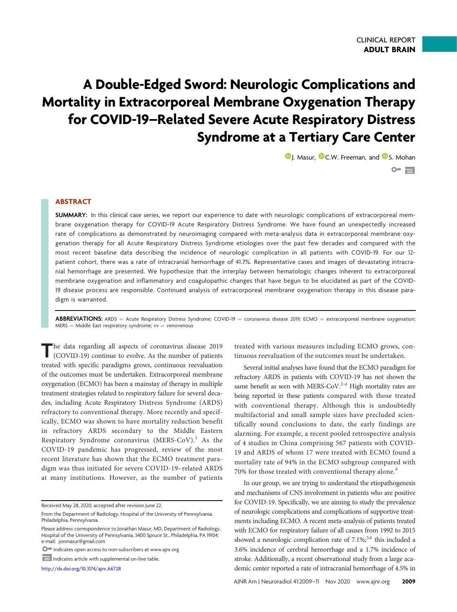# A Double-Edged Sword: Neurologic Complications and Mortality in Extracorporeal Membrane Oxygenation Therapy for COVID-19–Related Severe Acute Respiratory Distress Syndrome at a Tertiary Care Center

**D**[J. Masur,](https://orcid.org/0000-0002-0871-5049) **D**[C.W. Freeman,](https://orcid.org/0000-0003-0024-1421) and **D**[S. Mohan](https://orcid.org/0000-0002-4025-115X)  $O^{\omega}$   $\Box$ 

## ABSTRACT

SUMMARY: In this clinical case series, we report our experience to date with neurologic complications of extracorporeal membrane oxygenation therapy for COVID-19 Acute Respiratory Distress Syndrome. We have found an unexpectedly increased rate of complications as demonstrated by neuroimaging compared with meta-analysis data in extracorporeal membrane oxygenation therapy for all Acute Respiratory Distress Syndrome etiologies over the past few decades and compared with the most recent baseline data describing the incidence of neurologic complication in all patients with COVID-19. For our 12 patient cohort, there was a rate of intracranial hemorrhage of 41.7%. Representative cases and images of devastating intracranial hemorrhage are presented. We hypothesize that the interplay between hematologic changes inherent to extracorporeal membrane oxygenation and inflammatory and coagulopathic changes that have begun to be elucidated as part of the COVID-19 disease process are responsible. Continued analysis of extracorporeal membrane oxygenation therapy in this disease paradigm is warranted.

**ABBREVIATIONS:** ARDS = Acute Respiratory Distress Syndrome; COVID-19 = coronavirus disease 2019; ECMO = extracorporeal membrane oxygenation;  $MERS = Middle East respiratory syndrome; vv = venovenous$ 

The data regarding all aspects of coronavirus disease 2019 (COVID-19) continue to evolve. As the number of patients treated with specific paradigms grows, continuous reevaluation of the outcomes must be undertaken. Extracorporeal membrane oxygenation (ECMO) has been a mainstay of therapy in multiple treatment strategies related to respiratory failure for several decades, including Acute Respiratory Distress Syndrome (ARDS) refractory to conventional therapy. More recently and specifically, ECMO was shown to have mortality reduction benefit in refractory ARDS secondary to the Middle Eastern Respiratory Syndrome coronavirus  $(MERS-CoV).<sup>1</sup>$  $(MERS-CoV).<sup>1</sup>$  $(MERS-CoV).<sup>1</sup>$  As the COVID-19 pandemic has progressed, review of the most recent literature has shown that the ECMO treatment paradigm was thus initiated for severe COVID-19–related ARDS at many institutions. However, as the number of patients

Received May 28, 2020; accepted after revision June 22.

<http://dx.doi.org/10.3174/ajnr.A6728>

treated with various measures including ECMO grows, continuous reevaluation of the outcomes must be undertaken.

Several initial analyses have found that the ECMO paradigm for refractory ARDS in patients with COVID-19 has not shown the same benefit as seen with MERS[-](#page-2-2)CoV.<sup>2-[4](#page-2-3)</sup> High mortality rates are being reported in these patients compared with those treated with conventional therapy. Although this is undoubtedly multifactorial and small sample sizes have precluded scientifically sound conclusions to date, the early findings are alarming. For example, a recent pooled retrospective analysis of 4 studies in China comprising 567 patients with COVID-19 and ARDS of whom 17 were treated with ECMO found a mortality rate of 94% in the ECMO subgroup compared with 70% for those treated with conventional therapy alone.<sup>[4](#page-2-3)</sup>

In our group, we are trying to understand the etiopathogenesis and mechanisms of CNS involvement in patients who are positive for COVID-19. Specifically, we are aiming to study the prevalence of neurologic complications and complications of supportive treatments including ECMO. A recent meta-analysis of patients treated with ECMO for respiratory failure of all causes from 1992 to 2015 showed a neurologic complication rate of  $7.1\%$ ;<sup>5[,6](#page-2-5)</sup> this included a 3.6% incidence of cerebral hemorrhage and a 1.7% incidence of stroke. Additionally, a recent observational study from a large academic center reported a rate of intracranial hemorrhage of 4.5% in

From the Department of Radiology, Hospital of the University of Pennsylvania, Philadelphia, Pennsylvania.

Please address correspondence to Jonathan Masur, MD, Department of Radiology, Hospital of the University of Pennsylvania, 3400 Spruce St., Philadelphia, PA 19104; e-mail: [jonmasur@gmail.com](mailto:jonmasur@gmail.com)

Indicates open access to non-subscribers at www.ajnr.org

Indicates article with supplemental on-line table.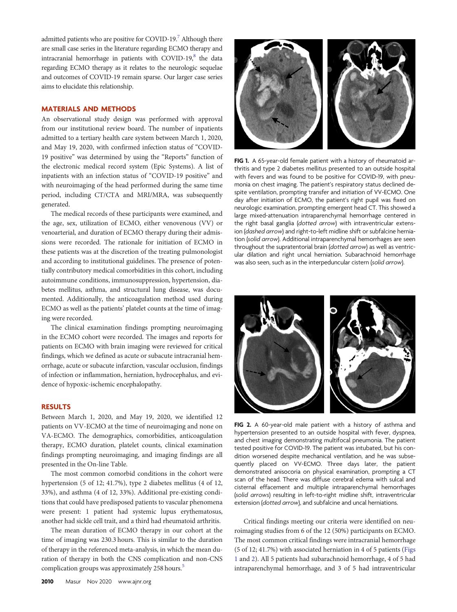admitted patients who are positive for COVID-19.<sup>7</sup> Although there are small case series in the literature regarding ECMO therapy and intracranial hemorrhage in patients with COVID-19 $<sup>8</sup>$  the data</sup> regarding ECMO therapy as it relates to the neurologic sequelae and outcomes of COVID-19 remain sparse. Our larger case series aims to elucidate this relationship.

## MATERIALS AND METHODS

An observational study design was performed with approval from our institutional review board. The number of inpatients admitted to a tertiary health care system between March 1, 2020, and May 19, 2020, with confirmed infection status of "COVID-19 positive" was determined by using the "Reports" function of the electronic medical record system (Epic Systems). A list of inpatients with an infection status of "COVID-19 positive" and with neuroimaging of the head performed during the same time period, including CT/CTA and MRI/MRA, was subsequently generated.

The medical records of these participants were examined, and the age, sex, utilization of ECMO, either venovenous (VV) or venoarterial, and duration of ECMO therapy during their admissions were recorded. The rationale for initiation of ECMO in these patients was at the discretion of the treating pulmonologist and according to institutional guidelines. The presence of potentially contributory medical comorbidities in this cohort, including autoimmune conditions, immunosuppression, hypertension, diabetes mellitus, asthma, and structural lung disease, was documented. Additionally, the anticoagulation method used during ECMO as well as the patients' platelet counts at the time of imaging were recorded.

The clinical examination findings prompting neuroimaging in the ECMO cohort were recorded. The images and reports for patients on ECMO with brain imaging were reviewed for critical findings, which we defined as acute or subacute intracranial hemorrhage, acute or subacute infarction, vascular occlusion, findings of infection or inflammation, herniation, hydrocephalus, and evidence of hypoxic-ischemic encephalopathy.

#### RESULTS

Between March 1, 2020, and May 19, 2020, we identified 12 patients on VV-ECMO at the time of neuroimaging and none on VA-ECMO. The demographics, comorbidities, anticoagulation therapy, ECMO duration, platelet counts, clinical examination findings prompting neuroimaging, and imaging findings are all presented in the On-line Table.

The most common comorbid conditions in the cohort were hypertension (5 of 12; 41.7%), type 2 diabetes mellitus (4 of 12, 33%), and asthma (4 of 12, 33%). Additional pre-existing conditions that could have predisposed patients to vascular phenomena were present: 1 patient had systemic lupus erythematosus, another had sickle cell trait, and a third had rheumatoid arthritis.

The mean duration of ECMO therapy in our cohort at the time of imaging was 230.3 hours. This is similar to the duration of therapy in the referenced meta-analysis, in which the mean duration of therapy in both the CNS complication and non-CNS complication groups was approximately 258 hours.<sup>5</sup>



<span id="page-1-0"></span>FIG 1. A 65-year-old female patient with a history of rheumatoid arthritis and type 2 diabetes mellitus presented to an outside hospital with fevers and was found to be positive for COVID-19, with pneumonia on chest imaging. The patient's respiratory status declined despite ventilation, prompting transfer and initiation of VV-ECMO. One day after initiation of ECMO, the patient's right pupil was fixed on neurologic examination, prompting emergent head CT. This showed a large mixed-attenuation intraparenchymal hemorrhage centered in the right basal ganglia (dotted arrow) with intraventricular extension (dashed arrow) and right-to-left midline shift or subfalcine herniation (solid arrow). Additional intraparenchymal hemorrhages are seen throughout the supratentorial brain (dotted arrow) as well as ventricular dilation and right uncal herniation. Subarachnoid hemorrhage was also seen, such as in the interpeduncular cistern (solid arrow).



FIG 2. A 60-year-old male patient with a history of asthma and hypertension presented to an outside hospital with fever, dyspnea, and chest imaging demonstrating multifocal pneumonia. The patient tested positive for COVID-19. The patient was intubated, but his condition worsened despite mechanical ventilation, and he was subsequently placed on VV-ECMO. Three days later, the patient demonstrated anisocoria on physical examination, prompting a CT scan of the head. There was diffuse cerebral edema with sulcal and cisternal effacement and multiple intraparenchymal hemorrhages (solid arrows) resulting in left-to-right midline shift, intraventricular extension (dotted arrow), and subfalcine and uncal herniations.

<span id="page-1-1"></span>Critical findings meeting our criteria were identified on neuroimaging studies from 6 of the 12 (50%) participants on ECMO. The most common critical findings were intracranial hemorrhage (5 of 12; 41.7%) with associated herniation in 4 of 5 patients ([Figs](#page-1-0) [1](#page-1-0) and [2](#page-1-1)). All 5 patients had subarachnoid hemorrhage, 4 of 5 had intraparenchymal hemorrhage, and 3 of 5 had intraventricular